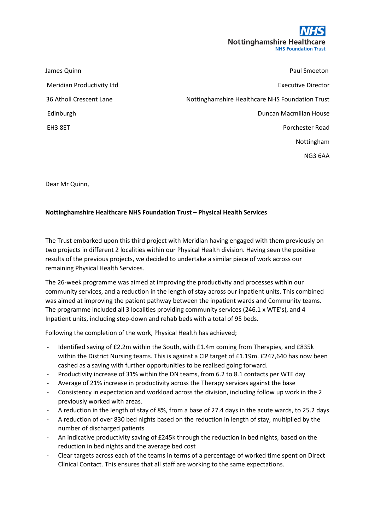

| James Quinn               | <b>Paul Smeeton</b>                             |
|---------------------------|-------------------------------------------------|
| Meridian Productivity Ltd | <b>Executive Director</b>                       |
| 36 Atholl Crescent Lane   | Nottinghamshire Healthcare NHS Foundation Trust |
| Edinburgh                 | Duncan Macmillan House                          |
| EH3 8ET                   | Porchester Road                                 |
|                           | Nottingham                                      |

NG3 6AA

Dear Mr Quinn,

## **Nottinghamshire Healthcare NHS Foundation Trust – Physical Health Services**

The Trust embarked upon this third project with Meridian having engaged with them previously on two projects in different 2 localities within our Physical Health division. Having seen the positive results of the previous projects, we decided to undertake a similar piece of work across our remaining Physical Health Services.

The 26-week programme was aimed at improving the productivity and processes within our community services, and a reduction in the length of stay across our inpatient units. This combined was aimed at improving the patient pathway between the inpatient wards and Community teams. The programme included all 3 localities providing community services (246.1 x WTE's), and 4 Inpatient units, including step-down and rehab beds with a total of 95 beds.

Following the completion of the work, Physical Health has achieved;

- Identified saving of £2.2m within the South, with £1.4m coming from Therapies, and £835k within the District Nursing teams. This is against a CIP target of £1.19m. £247,640 has now been cashed as a saving with further opportunities to be realised going forward.
- Productivity increase of 31% within the DN teams, from 6.2 to 8.1 contacts per WTE day
- Average of 21% increase in productivity across the Therapy services against the base
- Consistency in expectation and workload across the division, including follow up work in the 2 previously worked with areas.
- A reduction in the length of stay of 8%, from a base of 27.4 days in the acute wards, to 25.2 days
- A reduction of over 830 bed nights based on the reduction in length of stay, multiplied by the number of discharged patients
- An indicative productivity saving of £245k through the reduction in bed nights, based on the reduction in bed nights and the average bed cost
- Clear targets across each of the teams in terms of a percentage of worked time spent on Direct Clinical Contact. This ensures that all staff are working to the same expectations.